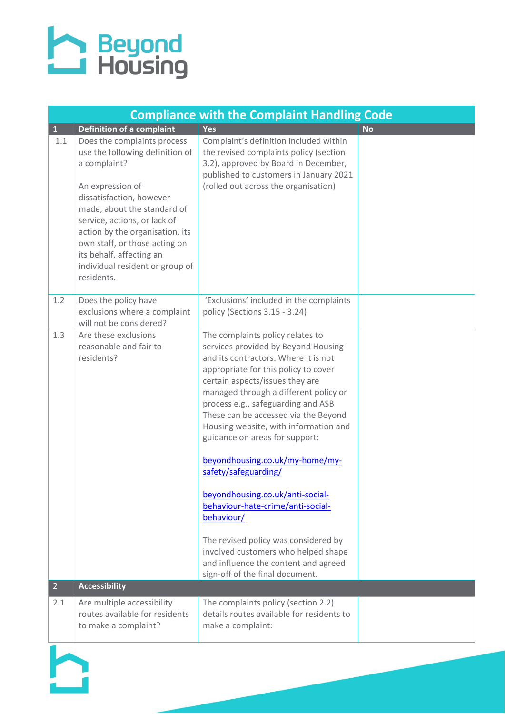## **A** Beyond<br>
Housing

| <b>Compliance with the Complaint Handling Code</b> |                                                                                                                                                                                                                                                                                                                                                |                                                                                                                                                                                                                                                                                                                                                                                                                                                                                                                                                                                                                                                                                                          |           |
|----------------------------------------------------|------------------------------------------------------------------------------------------------------------------------------------------------------------------------------------------------------------------------------------------------------------------------------------------------------------------------------------------------|----------------------------------------------------------------------------------------------------------------------------------------------------------------------------------------------------------------------------------------------------------------------------------------------------------------------------------------------------------------------------------------------------------------------------------------------------------------------------------------------------------------------------------------------------------------------------------------------------------------------------------------------------------------------------------------------------------|-----------|
| $\mathbf{1}$                                       | Definition of a complaint                                                                                                                                                                                                                                                                                                                      | Yes                                                                                                                                                                                                                                                                                                                                                                                                                                                                                                                                                                                                                                                                                                      | <b>No</b> |
| 1.1                                                | Does the complaints process<br>use the following definition of<br>a complaint?<br>An expression of<br>dissatisfaction, however<br>made, about the standard of<br>service, actions, or lack of<br>action by the organisation, its<br>own staff, or those acting on<br>its behalf, affecting an<br>individual resident or group of<br>residents. | Complaint's definition included within<br>the revised complaints policy (section<br>3.2), approved by Board in December,<br>published to customers in January 2021<br>(rolled out across the organisation)                                                                                                                                                                                                                                                                                                                                                                                                                                                                                               |           |
| 1.2                                                | Does the policy have<br>exclusions where a complaint<br>will not be considered?                                                                                                                                                                                                                                                                | 'Exclusions' included in the complaints<br>policy (Sections 3.15 - 3.24)                                                                                                                                                                                                                                                                                                                                                                                                                                                                                                                                                                                                                                 |           |
| 1.3                                                | Are these exclusions<br>reasonable and fair to<br>residents?                                                                                                                                                                                                                                                                                   | The complaints policy relates to<br>services provided by Beyond Housing<br>and its contractors. Where it is not<br>appropriate for this policy to cover<br>certain aspects/issues they are<br>managed through a different policy or<br>process e.g., safeguarding and ASB<br>These can be accessed via the Beyond<br>Housing website, with information and<br>guidance on areas for support:<br>beyondhousing.co.uk/my-home/my-<br>safety/safeguarding/<br>beyondhousing.co.uk/anti-social-<br>behaviour-hate-crime/anti-social-<br>behaviour/<br>The revised policy was considered by<br>involved customers who helped shape<br>and influence the content and agreed<br>sign-off of the final document. |           |
| 2 <sup>1</sup>                                     | <b>Accessibility</b>                                                                                                                                                                                                                                                                                                                           |                                                                                                                                                                                                                                                                                                                                                                                                                                                                                                                                                                                                                                                                                                          |           |
| 2.1                                                | Are multiple accessibility<br>routes available for residents<br>to make a complaint?                                                                                                                                                                                                                                                           | The complaints policy (section 2.2)<br>details routes available for residents to<br>make a complaint:                                                                                                                                                                                                                                                                                                                                                                                                                                                                                                                                                                                                    |           |

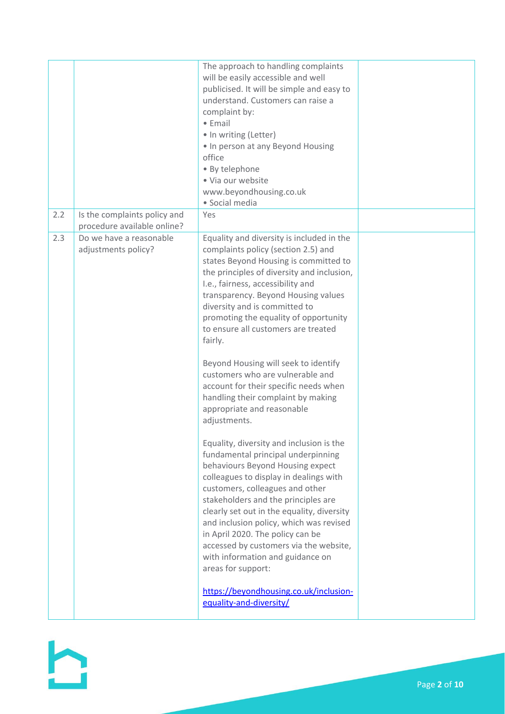|     |                                                             | The approach to handling complaints<br>will be easily accessible and well<br>publicised. It will be simple and easy to<br>understand. Customers can raise a<br>complaint by:<br>$\bullet$ Email<br>• In writing (Letter)<br>. In person at any Beyond Housing<br>office<br>· By telephone<br>· Via our website<br>www.beyondhousing.co.uk<br>· Social media                                                                                                             |  |
|-----|-------------------------------------------------------------|-------------------------------------------------------------------------------------------------------------------------------------------------------------------------------------------------------------------------------------------------------------------------------------------------------------------------------------------------------------------------------------------------------------------------------------------------------------------------|--|
| 2.2 | Is the complaints policy and<br>procedure available online? | Yes                                                                                                                                                                                                                                                                                                                                                                                                                                                                     |  |
| 2.3 | Do we have a reasonable<br>adjustments policy?              | Equality and diversity is included in the<br>complaints policy (section 2.5) and<br>states Beyond Housing is committed to<br>the principles of diversity and inclusion,<br>I.e., fairness, accessibility and<br>transparency. Beyond Housing values<br>diversity and is committed to<br>promoting the equality of opportunity<br>to ensure all customers are treated<br>fairly.                                                                                         |  |
|     |                                                             | Beyond Housing will seek to identify<br>customers who are vulnerable and<br>account for their specific needs when<br>handling their complaint by making<br>appropriate and reasonable<br>adjustments.                                                                                                                                                                                                                                                                   |  |
|     |                                                             | Equality, diversity and inclusion is the<br>fundamental principal underpinning<br>behaviours Beyond Housing expect<br>colleagues to display in dealings with<br>customers, colleagues and other<br>stakeholders and the principles are<br>clearly set out in the equality, diversity<br>and inclusion policy, which was revised<br>in April 2020. The policy can be<br>accessed by customers via the website,<br>with information and guidance on<br>areas for support: |  |
|     |                                                             | https://beyondhousing.co.uk/inclusion-<br>equality-and-diversity/                                                                                                                                                                                                                                                                                                                                                                                                       |  |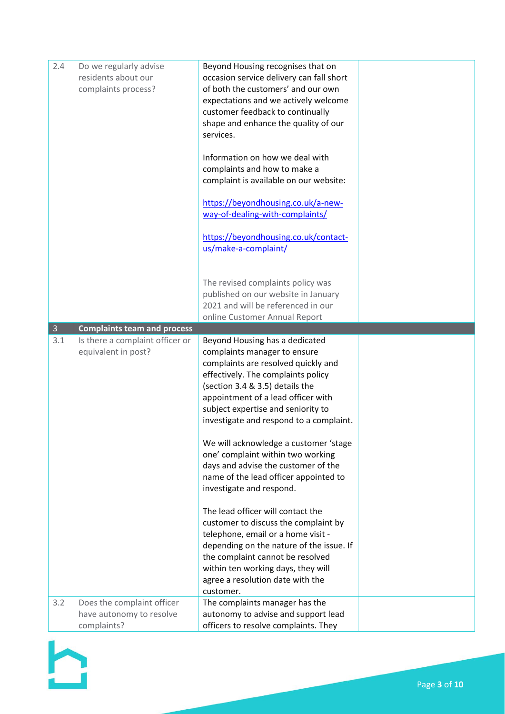| 2.4            | Do we regularly advise<br>residents about our<br>complaints process?  | Beyond Housing recognises that on<br>occasion service delivery can fall short<br>of both the customers' and our own<br>expectations and we actively welcome<br>customer feedback to continually<br>shape and enhance the quality of our<br>services.<br>Information on how we deal with<br>complaints and how to make a<br>complaint is available on our website:<br>https://beyondhousing.co.uk/a-new-<br>way-of-dealing-with-complaints/<br>https://beyondhousing.co.uk/contact-<br>us/make-a-complaint/<br>The revised complaints policy was<br>published on our website in January<br>2021 and will be referenced in our                                                                                                                                                              |  |
|----------------|-----------------------------------------------------------------------|-------------------------------------------------------------------------------------------------------------------------------------------------------------------------------------------------------------------------------------------------------------------------------------------------------------------------------------------------------------------------------------------------------------------------------------------------------------------------------------------------------------------------------------------------------------------------------------------------------------------------------------------------------------------------------------------------------------------------------------------------------------------------------------------|--|
|                |                                                                       | online Customer Annual Report                                                                                                                                                                                                                                                                                                                                                                                                                                                                                                                                                                                                                                                                                                                                                             |  |
| $\overline{3}$ | <b>Complaints team and process</b>                                    |                                                                                                                                                                                                                                                                                                                                                                                                                                                                                                                                                                                                                                                                                                                                                                                           |  |
| 3.1            | Is there a complaint officer or<br>equivalent in post?                | Beyond Housing has a dedicated<br>complaints manager to ensure<br>complaints are resolved quickly and<br>effectively. The complaints policy<br>(section 3.4 & 3.5) details the<br>appointment of a lead officer with<br>subject expertise and seniority to<br>investigate and respond to a complaint.<br>We will acknowledge a customer 'stage<br>one' complaint within two working<br>days and advise the customer of the<br>name of the lead officer appointed to<br>investigate and respond.<br>The lead officer will contact the<br>customer to discuss the complaint by<br>telephone, email or a home visit -<br>depending on the nature of the issue. If<br>the complaint cannot be resolved<br>within ten working days, they will<br>agree a resolution date with the<br>customer. |  |
| 3.2            | Does the complaint officer<br>have autonomy to resolve<br>complaints? | The complaints manager has the<br>autonomy to advise and support lead<br>officers to resolve complaints. They                                                                                                                                                                                                                                                                                                                                                                                                                                                                                                                                                                                                                                                                             |  |

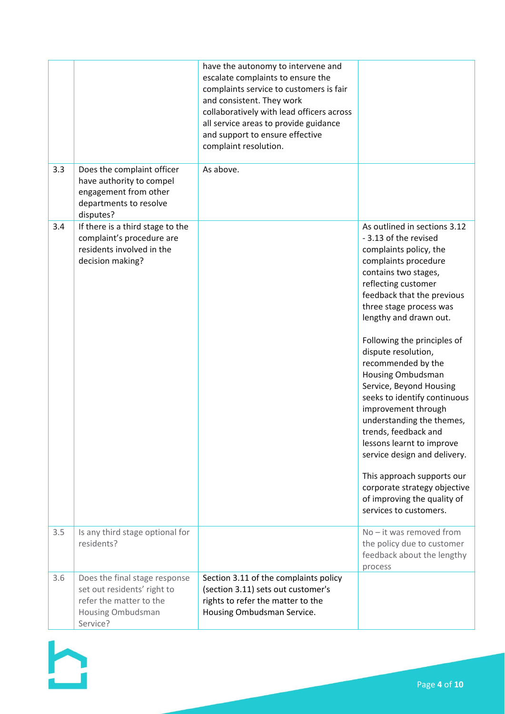|     |                                                                                                                          | have the autonomy to intervene and<br>escalate complaints to ensure the<br>complaints service to customers is fair<br>and consistent. They work<br>collaboratively with lead officers across<br>all service areas to provide guidance<br>and support to ensure effective<br>complaint resolution. |                                                                                                                                                                                                                                                                                                                                                                                                                                                                                                                                                                                                                                                                              |
|-----|--------------------------------------------------------------------------------------------------------------------------|---------------------------------------------------------------------------------------------------------------------------------------------------------------------------------------------------------------------------------------------------------------------------------------------------|------------------------------------------------------------------------------------------------------------------------------------------------------------------------------------------------------------------------------------------------------------------------------------------------------------------------------------------------------------------------------------------------------------------------------------------------------------------------------------------------------------------------------------------------------------------------------------------------------------------------------------------------------------------------------|
| 3.3 | Does the complaint officer<br>have authority to compel<br>engagement from other<br>departments to resolve<br>disputes?   | As above.                                                                                                                                                                                                                                                                                         |                                                                                                                                                                                                                                                                                                                                                                                                                                                                                                                                                                                                                                                                              |
| 3.4 | If there is a third stage to the<br>complaint's procedure are<br>residents involved in the<br>decision making?           |                                                                                                                                                                                                                                                                                                   | As outlined in sections 3.12<br>- 3.13 of the revised<br>complaints policy, the<br>complaints procedure<br>contains two stages,<br>reflecting customer<br>feedback that the previous<br>three stage process was<br>lengthy and drawn out.<br>Following the principles of<br>dispute resolution,<br>recommended by the<br><b>Housing Ombudsman</b><br>Service, Beyond Housing<br>seeks to identify continuous<br>improvement through<br>understanding the themes,<br>trends, feedback and<br>lessons learnt to improve<br>service design and delivery.<br>This approach supports our<br>corporate strategy objective<br>of improving the quality of<br>services to customers. |
| 3.5 | Is any third stage optional for<br>residents?                                                                            |                                                                                                                                                                                                                                                                                                   | $No - it was removed from$<br>the policy due to customer<br>feedback about the lengthy<br>process                                                                                                                                                                                                                                                                                                                                                                                                                                                                                                                                                                            |
| 3.6 | Does the final stage response<br>set out residents' right to<br>refer the matter to the<br>Housing Ombudsman<br>Service? | Section 3.11 of the complaints policy<br>(section 3.11) sets out customer's<br>rights to refer the matter to the<br>Housing Ombudsman Service.                                                                                                                                                    |                                                                                                                                                                                                                                                                                                                                                                                                                                                                                                                                                                                                                                                                              |

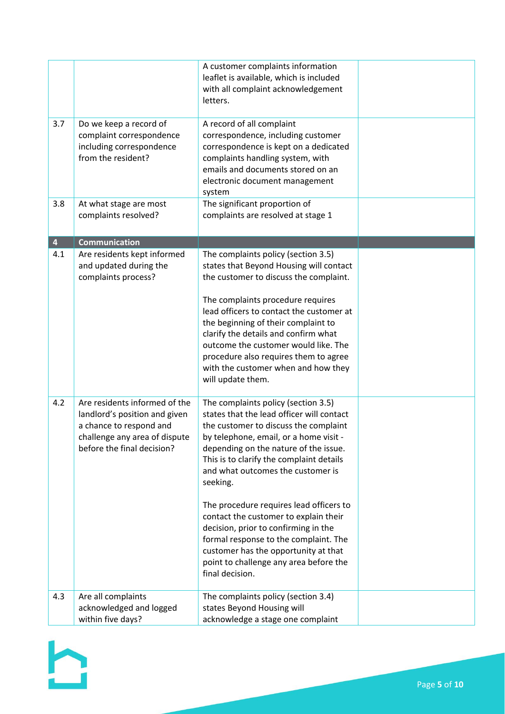|                         |                                                                                                                                                          | A customer complaints information<br>leaflet is available, which is included<br>with all complaint acknowledgement<br>letters.                                                                                                                                                                                                                                                                                                                                                                                                                                                      |  |
|-------------------------|----------------------------------------------------------------------------------------------------------------------------------------------------------|-------------------------------------------------------------------------------------------------------------------------------------------------------------------------------------------------------------------------------------------------------------------------------------------------------------------------------------------------------------------------------------------------------------------------------------------------------------------------------------------------------------------------------------------------------------------------------------|--|
| 3.7                     | Do we keep a record of<br>complaint correspondence<br>including correspondence<br>from the resident?                                                     | A record of all complaint<br>correspondence, including customer<br>correspondence is kept on a dedicated<br>complaints handling system, with<br>emails and documents stored on an<br>electronic document management<br>system                                                                                                                                                                                                                                                                                                                                                       |  |
| 3.8                     | At what stage are most<br>complaints resolved?                                                                                                           | The significant proportion of<br>complaints are resolved at stage 1                                                                                                                                                                                                                                                                                                                                                                                                                                                                                                                 |  |
| $\overline{\mathbf{4}}$ | <b>Communication</b>                                                                                                                                     |                                                                                                                                                                                                                                                                                                                                                                                                                                                                                                                                                                                     |  |
| 4.1                     | Are residents kept informed<br>and updated during the<br>complaints process?                                                                             | The complaints policy (section 3.5)<br>states that Beyond Housing will contact<br>the customer to discuss the complaint.<br>The complaints procedure requires<br>lead officers to contact the customer at<br>the beginning of their complaint to<br>clarify the details and confirm what<br>outcome the customer would like. The<br>procedure also requires them to agree<br>with the customer when and how they<br>will update them.                                                                                                                                               |  |
| 4.2                     | Are residents informed of the<br>landlord's position and given<br>a chance to respond and<br>challenge any area of dispute<br>before the final decision? | The complaints policy (section 3.5)<br>states that the lead officer will contact<br>the customer to discuss the complaint<br>by telephone, email, or a home visit -<br>depending on the nature of the issue.<br>This is to clarify the complaint details<br>and what outcomes the customer is<br>seeking.<br>The procedure requires lead officers to<br>contact the customer to explain their<br>decision, prior to confirming in the<br>formal response to the complaint. The<br>customer has the opportunity at that<br>point to challenge any area before the<br>final decision. |  |
| 4.3                     | Are all complaints<br>acknowledged and logged<br>within five days?                                                                                       | The complaints policy (section 3.4)<br>states Beyond Housing will<br>acknowledge a stage one complaint                                                                                                                                                                                                                                                                                                                                                                                                                                                                              |  |

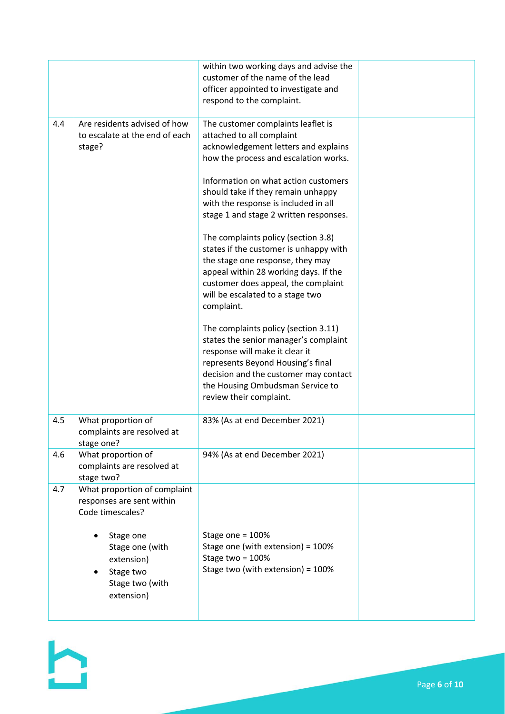|     |                                                                                          | within two working days and advise the<br>customer of the name of the lead<br>officer appointed to investigate and<br>respond to the complaint.                                                                                                              |  |
|-----|------------------------------------------------------------------------------------------|--------------------------------------------------------------------------------------------------------------------------------------------------------------------------------------------------------------------------------------------------------------|--|
| 4.4 | Are residents advised of how<br>to escalate at the end of each<br>stage?                 | The customer complaints leaflet is<br>attached to all complaint<br>acknowledgement letters and explains<br>how the process and escalation works.                                                                                                             |  |
|     |                                                                                          | Information on what action customers<br>should take if they remain unhappy<br>with the response is included in all<br>stage 1 and stage 2 written responses.                                                                                                 |  |
|     |                                                                                          | The complaints policy (section 3.8)<br>states if the customer is unhappy with<br>the stage one response, they may<br>appeal within 28 working days. If the<br>customer does appeal, the complaint<br>will be escalated to a stage two<br>complaint.          |  |
|     |                                                                                          | The complaints policy (section 3.11)<br>states the senior manager's complaint<br>response will make it clear it<br>represents Beyond Housing's final<br>decision and the customer may contact<br>the Housing Ombudsman Service to<br>review their complaint. |  |
| 4.5 | What proportion of<br>complaints are resolved at<br>stage one?                           | 83% (As at end December 2021)                                                                                                                                                                                                                                |  |
| 4.6 | What proportion of<br>complaints are resolved at<br>stage two?                           | 94% (As at end December 2021)                                                                                                                                                                                                                                |  |
| 4.7 | What proportion of complaint<br>responses are sent within<br>Code timescales?            |                                                                                                                                                                                                                                                              |  |
|     | Stage one<br>Stage one (with<br>extension)<br>Stage two<br>Stage two (with<br>extension) | Stage one = 100%<br>Stage one (with extension) = 100%<br>Stage two = 100%<br>Stage two (with extension) = 100%                                                                                                                                               |  |

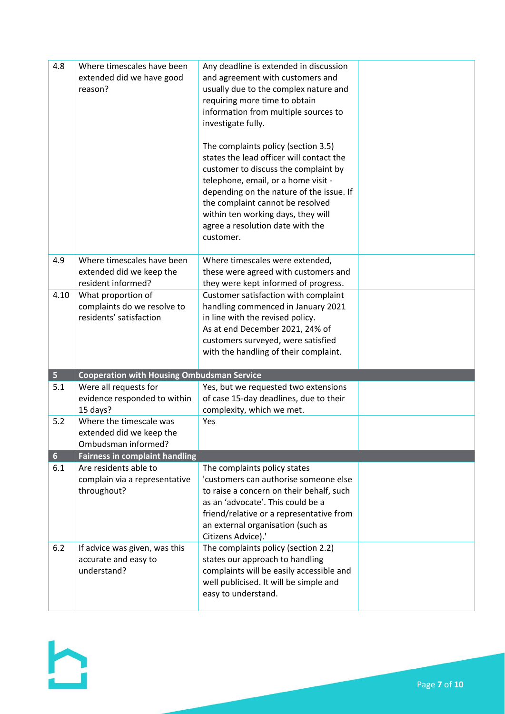| 4.8             | Where timescales have been<br>extended did we have good<br>reason?           | Any deadline is extended in discussion<br>and agreement with customers and<br>usually due to the complex nature and<br>requiring more time to obtain<br>information from multiple sources to<br>investigate fully.<br>The complaints policy (section 3.5)                                      |  |
|-----------------|------------------------------------------------------------------------------|------------------------------------------------------------------------------------------------------------------------------------------------------------------------------------------------------------------------------------------------------------------------------------------------|--|
|                 |                                                                              | states the lead officer will contact the<br>customer to discuss the complaint by<br>telephone, email, or a home visit -<br>depending on the nature of the issue. If<br>the complaint cannot be resolved<br>within ten working days, they will<br>agree a resolution date with the<br>customer. |  |
| 4.9             | Where timescales have been<br>extended did we keep the<br>resident informed? | Where timescales were extended,<br>these were agreed with customers and<br>they were kept informed of progress.                                                                                                                                                                                |  |
| 4.10            | What proportion of<br>complaints do we resolve to<br>residents' satisfaction | Customer satisfaction with complaint<br>handling commenced in January 2021<br>in line with the revised policy.<br>As at end December 2021, 24% of<br>customers surveyed, were satisfied<br>with the handling of their complaint.                                                               |  |
| 5 <sub>1</sub>  | <b>Cooperation with Housing Ombudsman Service</b>                            |                                                                                                                                                                                                                                                                                                |  |
| 5.1             | Were all requests for<br>evidence responded to within<br>15 days?            | Yes, but we requested two extensions<br>of case 15-day deadlines, due to their<br>complexity, which we met.                                                                                                                                                                                    |  |
| 5.2             | Where the timescale was<br>extended did we keep the<br>Ombudsman informed?   | Yes                                                                                                                                                                                                                                                                                            |  |
| $6\overline{6}$ | <b>Fairness in complaint handling</b>                                        |                                                                                                                                                                                                                                                                                                |  |
| 6.1             | Are residents able to<br>complain via a representative<br>throughout?        | The complaints policy states<br>'customers can authorise someone else<br>to raise a concern on their behalf, such<br>as an 'advocate'. This could be a<br>friend/relative or a representative from<br>an external organisation (such as<br>Citizens Advice).'                                  |  |
| 6.2             | If advice was given, was this<br>accurate and easy to<br>understand?         | The complaints policy (section 2.2)<br>states our approach to handling<br>complaints will be easily accessible and<br>well publicised. It will be simple and<br>easy to understand.                                                                                                            |  |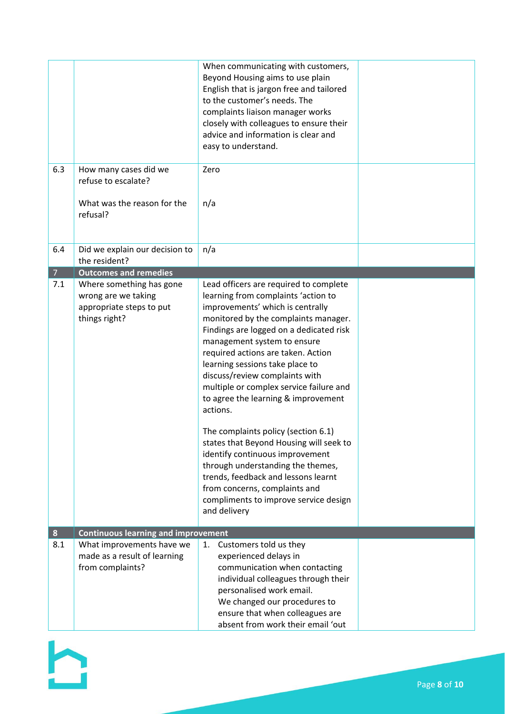|                  |                                                                                              | When communicating with customers,<br>Beyond Housing aims to use plain<br>English that is jargon free and tailored<br>to the customer's needs. The<br>complaints liaison manager works<br>closely with colleagues to ensure their<br>advice and information is clear and<br>easy to understand.                                                                                                                                                                                                                                                                                                                                                                                                                                         |  |
|------------------|----------------------------------------------------------------------------------------------|-----------------------------------------------------------------------------------------------------------------------------------------------------------------------------------------------------------------------------------------------------------------------------------------------------------------------------------------------------------------------------------------------------------------------------------------------------------------------------------------------------------------------------------------------------------------------------------------------------------------------------------------------------------------------------------------------------------------------------------------|--|
| 6.3              | How many cases did we<br>refuse to escalate?<br>What was the reason for the<br>refusal?      | Zero<br>n/a                                                                                                                                                                                                                                                                                                                                                                                                                                                                                                                                                                                                                                                                                                                             |  |
| 6.4              | Did we explain our decision to                                                               | n/a                                                                                                                                                                                                                                                                                                                                                                                                                                                                                                                                                                                                                                                                                                                                     |  |
| $\overline{7}$   | the resident?<br><b>Outcomes and remedies</b>                                                |                                                                                                                                                                                                                                                                                                                                                                                                                                                                                                                                                                                                                                                                                                                                         |  |
| 7.1              | Where something has gone<br>wrong are we taking<br>appropriate steps to put<br>things right? | Lead officers are required to complete<br>learning from complaints 'action to<br>improvements' which is centrally<br>monitored by the complaints manager.<br>Findings are logged on a dedicated risk<br>management system to ensure<br>required actions are taken. Action<br>learning sessions take place to<br>discuss/review complaints with<br>multiple or complex service failure and<br>to agree the learning & improvement<br>actions.<br>The complaints policy (section 6.1)<br>states that Beyond Housing will seek to<br>identify continuous improvement<br>through understanding the themes,<br>trends, feedback and lessons learnt<br>from concerns, complaints and<br>compliments to improve service design<br>and delivery |  |
| $\boldsymbol{8}$ | <b>Continuous learning and improvement</b>                                                   |                                                                                                                                                                                                                                                                                                                                                                                                                                                                                                                                                                                                                                                                                                                                         |  |
| 8.1              | What improvements have we<br>made as a result of learning<br>from complaints?                | Customers told us they<br>1.<br>experienced delays in<br>communication when contacting<br>individual colleagues through their<br>personalised work email.<br>We changed our procedures to<br>ensure that when colleagues are<br>absent from work their email 'out                                                                                                                                                                                                                                                                                                                                                                                                                                                                       |  |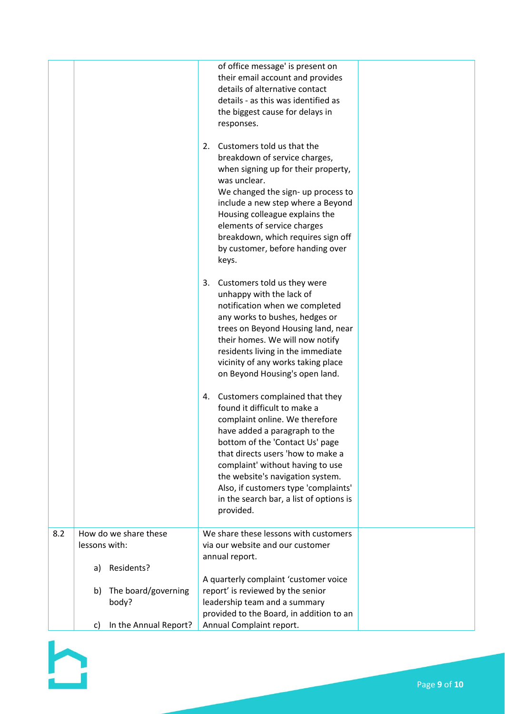|     |                             | of office message' is present on<br>their email account and provides<br>details of alternative contact<br>details - as this was identified as<br>the biggest cause for delays in<br>responses.<br>2.<br>Customers told us that the<br>breakdown of service charges,<br>when signing up for their property,<br>was unclear.<br>We changed the sign- up process to<br>include a new step where a Beyond<br>Housing colleague explains the<br>elements of service charges<br>breakdown, which requires sign off<br>by customer, before handing over<br>keys.<br>3.<br>Customers told us they were<br>unhappy with the lack of<br>notification when we completed<br>any works to bushes, hedges or<br>trees on Beyond Housing land, near<br>their homes. We will now notify<br>residents living in the immediate<br>vicinity of any works taking place<br>on Beyond Housing's open land.<br>Customers complained that they<br>4.<br>found it difficult to make a<br>complaint online. We therefore<br>have added a paragraph to the<br>bottom of the 'Contact Us' page<br>that directs users 'how to make a |  |
|-----|-----------------------------|---------------------------------------------------------------------------------------------------------------------------------------------------------------------------------------------------------------------------------------------------------------------------------------------------------------------------------------------------------------------------------------------------------------------------------------------------------------------------------------------------------------------------------------------------------------------------------------------------------------------------------------------------------------------------------------------------------------------------------------------------------------------------------------------------------------------------------------------------------------------------------------------------------------------------------------------------------------------------------------------------------------------------------------------------------------------------------------------------------|--|
|     |                             | complaint' without having to use<br>the website's navigation system.<br>Also, if customers type 'complaints'<br>in the search bar, a list of options is<br>provided.                                                                                                                                                                                                                                                                                                                                                                                                                                                                                                                                                                                                                                                                                                                                                                                                                                                                                                                                    |  |
| 8.2 | How do we share these       | We share these lessons with customers                                                                                                                                                                                                                                                                                                                                                                                                                                                                                                                                                                                                                                                                                                                                                                                                                                                                                                                                                                                                                                                                   |  |
|     | lessons with:               | via our website and our customer                                                                                                                                                                                                                                                                                                                                                                                                                                                                                                                                                                                                                                                                                                                                                                                                                                                                                                                                                                                                                                                                        |  |
|     |                             | annual report.                                                                                                                                                                                                                                                                                                                                                                                                                                                                                                                                                                                                                                                                                                                                                                                                                                                                                                                                                                                                                                                                                          |  |
|     | Residents?<br>a)            |                                                                                                                                                                                                                                                                                                                                                                                                                                                                                                                                                                                                                                                                                                                                                                                                                                                                                                                                                                                                                                                                                                         |  |
|     | The board/governing<br>b)   | A quarterly complaint 'customer voice<br>report' is reviewed by the senior                                                                                                                                                                                                                                                                                                                                                                                                                                                                                                                                                                                                                                                                                                                                                                                                                                                                                                                                                                                                                              |  |
|     | body?                       | leadership team and a summary                                                                                                                                                                                                                                                                                                                                                                                                                                                                                                                                                                                                                                                                                                                                                                                                                                                                                                                                                                                                                                                                           |  |
|     |                             | provided to the Board, in addition to an                                                                                                                                                                                                                                                                                                                                                                                                                                                                                                                                                                                                                                                                                                                                                                                                                                                                                                                                                                                                                                                                |  |
|     | In the Annual Report?<br>c) | Annual Complaint report.                                                                                                                                                                                                                                                                                                                                                                                                                                                                                                                                                                                                                                                                                                                                                                                                                                                                                                                                                                                                                                                                                |  |